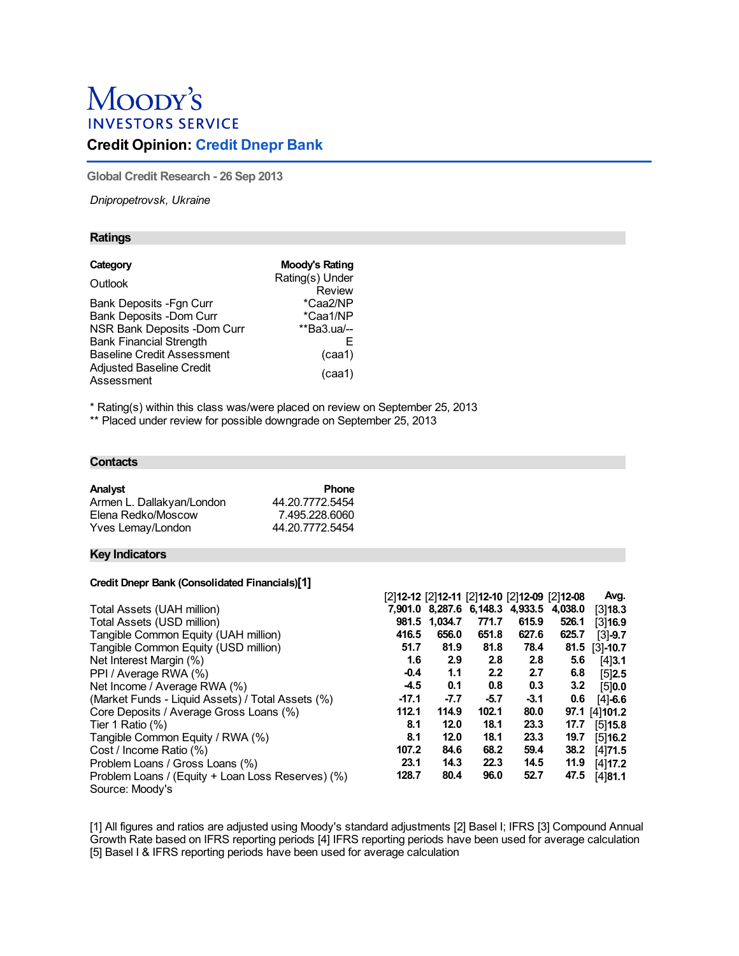# Moody's **INVESTORS SERVICE**

# **Credit Opinion: Credit Dnepr Bank**

**Global Credit Research - 26 Sep 2013**

*Dnipropetrovsk, Ukraine*

# **Ratings**

| Moody's Rating  |
|-----------------|
| Rating(s) Under |
| Review          |
| *Caa2/NP        |
| *Caa1/NP        |
| **Ba3.ua/--     |
| F               |
| (caa1)          |
| (caa1)          |
|                 |

\* Rating(s) within this class was/were placed on review on September 25, 2013

\*\* Placed under review for possible downgrade on September 25, 2013

#### **Contacts**

| Analyst                   | <b>Phone</b>    |
|---------------------------|-----------------|
| Armen L. Dallakyan/London | 44.20.7772.5454 |
| Elena Redko/Moscow        | 7.495.228.6060  |
| Yves Lemay/London         | 44.20.7772.5454 |

# **Key Indicators**

# **Credit Dnepr Bank (Consolidated Financials)[1]**

|                                                   |         |               |        | [2]12-12 [2]12-11 [2]12-10 [2]12-09 [2]12-08 |       | Avg.           |
|---------------------------------------------------|---------|---------------|--------|----------------------------------------------|-------|----------------|
| Total Assets (UAH million)                        |         |               |        | 7,901.0 8,287.6 6,148.3 4,933.5 4,038.0      |       | [3]18.3        |
| Total Assets (USD million)                        |         | 981.5 1,034.7 | 771.7  | 615.9                                        | 526.1 | [3]16.9        |
| Tangible Common Equity (UAH million)              | 416.5   | 656.0         | 651.8  | 627.6                                        | 625.7 | $[3] - 9.7$    |
| Tangible Common Equity (USD million)              | 51.7    | 81.9          | 81.8   | 78.4                                         | 81.5  | $[3] - 10.7$   |
| Net Interest Margin (%)                           | 1.6     | 2.9           | 2.8    | 2.8                                          | 5.6   | [4]3.1         |
| PPI / Average RWA (%)                             | $-0.4$  | 1.1           | 2.2    | 2.7                                          | 6.8   | [5]2.5         |
| Net Income / Average RWA (%)                      | $-4.5$  | 0.1           | 0.8    | 0.3                                          | 3.2   | [5]0.0         |
| (Market Funds - Liquid Assets) / Total Assets (%) | $-17.1$ | $-7.7$        | $-5.7$ | $-3.1$                                       | 0.6   | $[4] - 6.6$    |
| Core Deposits / Average Gross Loans (%)           | 112.1   | 114.9         | 102.1  | 80.0                                         |       | 97.1 [4] 101.2 |
| Tier 1 Ratio $(\%)$                               | 8.1     | 12.0          | 18.1   | 23.3                                         | 17.7  | [5]15.8        |
| Tangible Common Equity / RWA (%)                  | 8.1     | 12.0          | 18.1   | 23.3                                         | 19.7  | [5]16.2        |
| Cost / Income Ratio (%)                           | 107.2   | 84.6          | 68.2   | 59.4                                         | 38.2  | [4]71.5        |
| Problem Loans / Gross Loans (%)                   | 23.1    | 14.3          | 22.3   | 14.5                                         | 11.9  | $[4]$ 17.2     |
| Problem Loans / (Equity + Loan Loss Reserves) (%) | 128.7   | 80.4          | 96.0   | 52.7                                         | 47.5  | [4]81.1        |
| Source: Moody's                                   |         |               |        |                                              |       |                |

[1] All figures and ratios are adjusted using Moody's standard adjustments [2] Basel I; IFRS [3] Compound Annual Growth Rate based on IFRS reporting periods [4] IFRS reporting periods have been used for average calculation [5] Basel I & IFRS reporting periods have been used for average calculation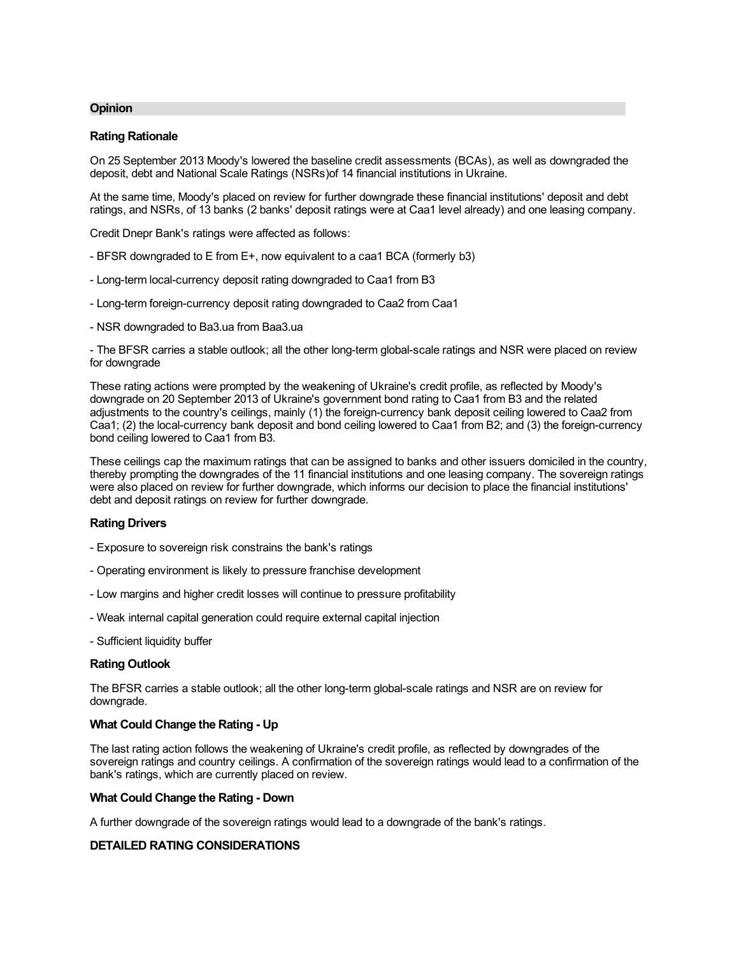# **Opinion**

# **Rating Rationale**

On 25 September 2013 Moody's lowered the baseline credit assessments (BCAs), as well as downgraded the deposit, debt and National Scale Ratings (NSRs)of 14 financial institutions in Ukraine.

At the same time, Moody's placed on review for further downgrade these financial institutions' deposit and debt ratings, and NSRs, of 13 banks (2 banks' deposit ratings were at Caa1 level already) and one leasing company.

Credit Dnepr Bank's ratings were affected as follows:

- BFSR downgraded to E from E+, now equivalent to a caa1 BCA (formerly b3)
- Long-term local-currency deposit rating downgraded to Caa1 from B3
- Long-term foreign-currency deposit rating downgraded to Caa2 from Caa1
- NSR downgraded to Ba3.ua from Baa3.ua

- The BFSR carries a stable outlook; all the other long-term global-scale ratings and NSR were placed on review for downgrade

These rating actions were prompted by the weakening of Ukraine's credit profile, as reflected by Moody's downgrade on 20 September 2013 of Ukraine's government bond rating to Caa1 from B3 and the related adjustments to the country's ceilings, mainly (1) the foreign-currency bank deposit ceiling lowered to Caa2 from Caa1; (2) the local-currency bank deposit and bond ceiling lowered to Caa1 from B2; and (3) the foreign-currency bond ceiling lowered to Caa1 from B3.

These ceilings cap the maximum ratings that can be assigned to banks and other issuers domiciled in the country, thereby prompting the downgrades of the 11 financial institutions and one leasing company. The sovereign ratings were also placed on review for further downgrade, which informs our decision to place the financial institutions' debt and deposit ratings on review for further downgrade.

#### **Rating Drivers**

- Exposure to sovereign risk constrains the bank's ratings
- Operating environment is likely to pressure franchise development
- Low margins and higher credit losses will continue to pressure profitability
- Weak internal capital generation could require external capital injection
- Sufficient liquidity buffer

# **Rating Outlook**

The BFSR carries a stable outlook; all the other long-term global-scale ratings and NSR are on review for downgrade.

# **What Could Change the Rating - Up**

The last rating action follows the weakening of Ukraine's credit profile, as reflected by downgrades of the sovereign ratings and country ceilings. A confirmation of the sovereign ratings would lead to a confirmation of the bank's ratings, which are currently placed on review.

# **What Could Change the Rating - Down**

A further downgrade of the sovereign ratings would lead to a downgrade of the bank's ratings.

# **DETAILED RATING CONSIDERATIONS**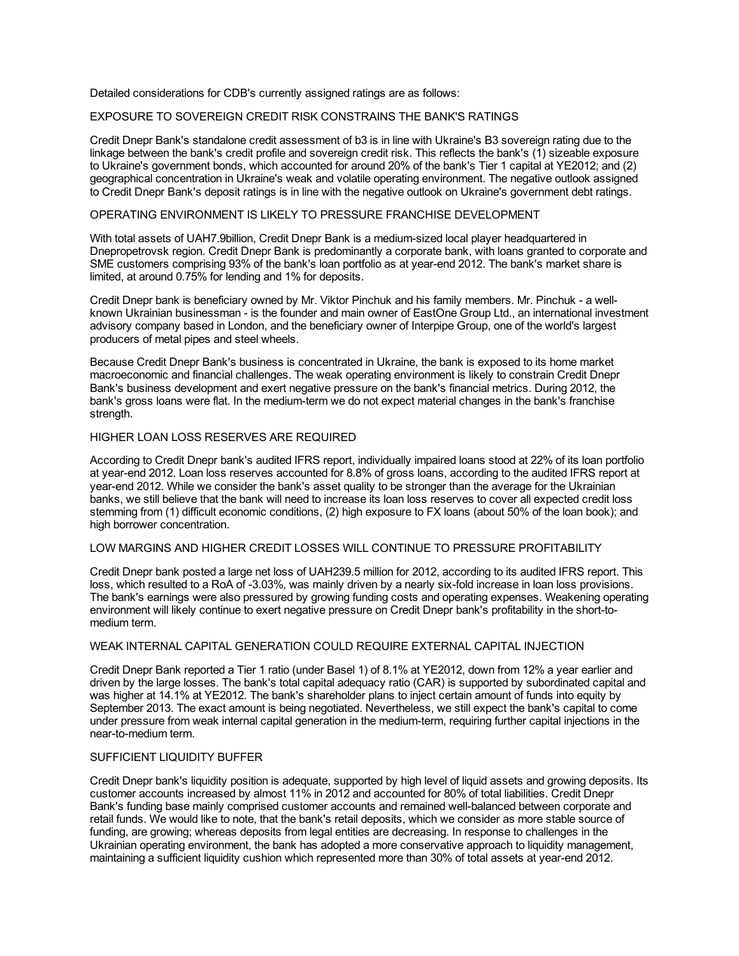Detailed considerations for CDB's currently assigned ratings are as follows:

# EXPOSURE TO SOVEREIGN CREDIT RISK CONSTRAINS THE BANK'S RATINGS

Credit Dnepr Bank's standalone credit assessment of b3 is in line with Ukraine's B3 sovereign rating due to the linkage between the bank's credit profile and sovereign credit risk. This reflects the bank's (1) sizeable exposure to Ukraine's government bonds, which accounted for around 20% of the bank's Tier 1 capital at YE2012; and (2) geographical concentration in Ukraine's weak and volatile operating environment. The negative outlook assigned to Credit Dnepr Bank's deposit ratings is in line with the negative outlook on Ukraine's government debt ratings.

# OPERATING ENVIRONMENT IS LIKELY TO PRESSURE FRANCHISE DEVELOPMENT

With total assets of UAH7.9billion, Credit Dnepr Bank is a medium-sized local player headquartered in Dnepropetrovsk region. Credit Dnepr Bank is predominantly a corporate bank, with loans granted to corporate and SME customers comprising 93% of the bank's loan portfolio as at year-end 2012. The bank's market share is limited, at around 0.75% for lending and 1% for deposits.

Credit Dnepr bank is beneficiary owned by Mr. Viktor Pinchuk and his family members. Mr. Pinchuk - a wellknown Ukrainian businessman - is the founder and main owner of EastOne Group Ltd., an international investment advisory company based in London, and the beneficiary owner of Interpipe Group, one of the world's largest producers of metal pipes and steel wheels.

Because Credit Dnepr Bank's business is concentrated in Ukraine, the bank is exposed to its home market macroeconomic and financial challenges. The weak operating environment is likely to constrain Credit Dnepr Bank's business development and exert negative pressure on the bank's financial metrics. During 2012, the bank's gross loans were flat. In the medium-term we do not expect material changes in the bank's franchise strength.

# HIGHER LOAN LOSS RESERVES ARE REQUIRED

According to Credit Dnepr bank's audited IFRS report, individually impaired loans stood at 22% of its loan portfolio at year-end 2012. Loan loss reserves accounted for 8.8% of gross loans, according to the audited IFRS report at year-end 2012. While we consider the bank's asset quality to be stronger than the average for the Ukrainian banks, we still believe that the bank will need to increase its loan loss reserves to cover all expected credit loss stemming from (1) difficult economic conditions, (2) high exposure to FX loans (about 50% of the loan book); and high borrower concentration.

#### LOW MARGINS AND HIGHER CREDIT LOSSES WILL CONTINUE TO PRESSURE PROFITABILITY

Credit Dnepr bank posted a large net loss of UAH239.5 million for 2012, according to its audited IFRS report. This loss, which resulted to a RoA of -3.03%, was mainly driven by a nearly six-fold increase in loan loss provisions. The bank's earnings were also pressured by growing funding costs and operating expenses. Weakening operating environment will likely continue to exert negative pressure on Credit Dnepr bank's profitability in the short-tomedium term.

#### WEAK INTERNAL CAPITAL GENERATION COULD REQUIRE EXTERNAL CAPITAL INJECTION

Credit Dnepr Bank reported a Tier 1 ratio (under Basel 1) of 8.1% at YE2012, down from 12% a year earlier and driven by the large losses. The bank's total capital adequacy ratio (CAR) is supported by subordinated capital and was higher at 14.1% at YE2012. The bank's shareholder plans to inject certain amount of funds into equity by September 2013. The exact amount is being negotiated. Nevertheless, we still expect the bank's capital to come under pressure from weak internal capital generation in the medium-term, requiring further capital injections in the near-to-medium term.

# SUFFICIENT LIQUIDITY BUFFER

Credit Dnepr bank's liquidity position is adequate, supported by high level of liquid assets and growing deposits. Its customer accounts increased by almost 11% in 2012 and accounted for 80% of total liabilities. Credit Dnepr Bank's funding base mainly comprised customer accounts and remained well-balanced between corporate and retail funds. We would like to note, that the bank's retail deposits, which we consider as more stable source of funding, are growing; whereas deposits from legal entities are decreasing. In response to challenges in the Ukrainian operating environment, the bank has adopted a more conservative approach to liquidity management, maintaining a sufficient liquidity cushion which represented more than 30% of total assets at year-end 2012.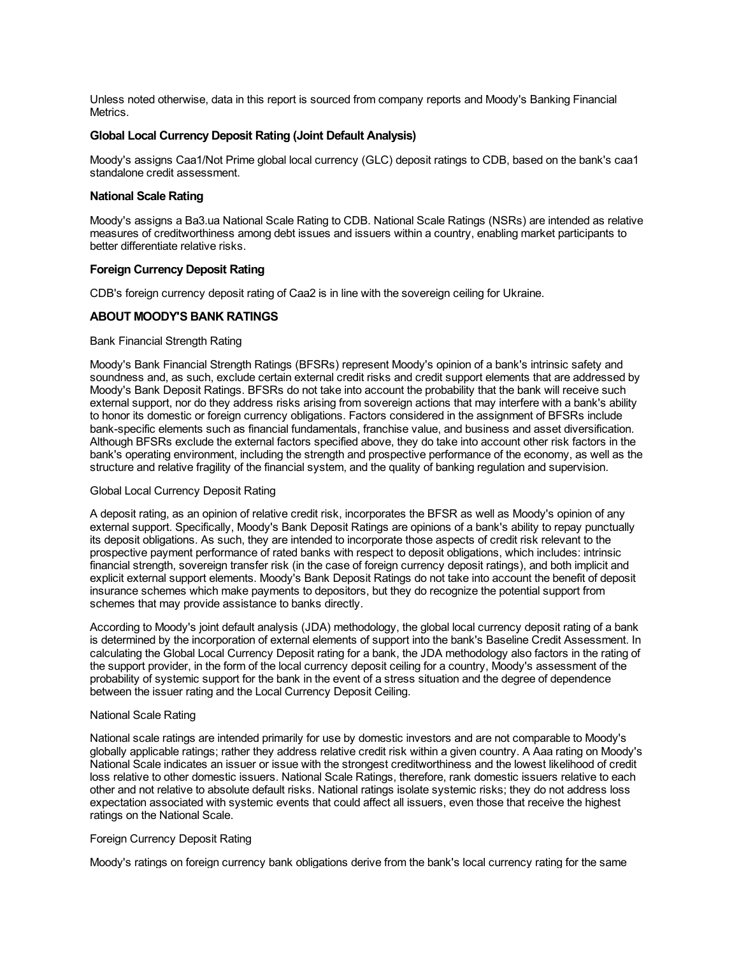Unless noted otherwise, data in this report is sourced from company reports and Moody's Banking Financial Metrics.

# **Global Local Currency Deposit Rating (Joint Default Analysis)**

Moody's assigns Caa1/Not Prime global local currency (GLC) deposit ratings to CDB, based on the bank's caa1 standalone credit assessment.

#### **National Scale Rating**

Moody's assigns a Ba3.ua National Scale Rating to CDB. National Scale Ratings (NSRs) are intended as relative measures of creditworthiness among debt issues and issuers within a country, enabling market participants to better differentiate relative risks.

# **Foreign Currency Deposit Rating**

CDB's foreign currency deposit rating of Caa2 is in line with the sovereign ceiling for Ukraine.

# **ABOUT MOODY'S BANK RATINGS**

#### Bank Financial Strength Rating

Moody's Bank Financial Strength Ratings (BFSRs) represent Moody's opinion of a bank's intrinsic safety and soundness and, as such, exclude certain external credit risks and credit support elements that are addressed by Moody's Bank Deposit Ratings. BFSRs do not take into account the probability that the bank will receive such external support, nor do they address risks arising from sovereign actions that may interfere with a bank's ability to honor its domestic or foreign currency obligations. Factors considered in the assignment of BFSRs include bank-specific elements such as financial fundamentals, franchise value, and business and asset diversification. Although BFSRs exclude the external factors specified above, they do take into account other risk factors in the bank's operating environment, including the strength and prospective performance of the economy, as well as the structure and relative fragility of the financial system, and the quality of banking regulation and supervision.

#### Global Local Currency Deposit Rating

A deposit rating, as an opinion of relative credit risk, incorporates the BFSR as well as Moody's opinion of any external support. Specifically, Moody's Bank Deposit Ratings are opinions of a bank's ability to repay punctually its deposit obligations. As such, they are intended to incorporate those aspects of credit risk relevant to the prospective payment performance of rated banks with respect to deposit obligations, which includes: intrinsic financial strength, sovereign transfer risk (in the case of foreign currency deposit ratings), and both implicit and explicit external support elements. Moody's Bank Deposit Ratings do not take into account the benefit of deposit insurance schemes which make payments to depositors, but they do recognize the potential support from schemes that may provide assistance to banks directly.

According to Moody's joint default analysis (JDA) methodology, the global local currency deposit rating of a bank is determined by the incorporation of external elements of support into the bank's Baseline Credit Assessment. In calculating the Global Local Currency Deposit rating for a bank, the JDA methodology also factors in the rating of the support provider, in the form of the local currency deposit ceiling for a country, Moody's assessment of the probability of systemic support for the bank in the event of a stress situation and the degree of dependence between the issuer rating and the Local Currency Deposit Ceiling.

#### National Scale Rating

National scale ratings are intended primarily for use by domestic investors and are not comparable to Moody's globally applicable ratings; rather they address relative credit risk within a given country. A Aaa rating on Moody's National Scale indicates an issuer or issue with the strongest creditworthiness and the lowest likelihood of credit loss relative to other domestic issuers. National Scale Ratings, therefore, rank domestic issuers relative to each other and not relative to absolute default risks. National ratings isolate systemic risks; they do not address loss expectation associated with systemic events that could affect all issuers, even those that receive the highest ratings on the National Scale.

# Foreign Currency Deposit Rating

Moody's ratings on foreign currency bank obligations derive from the bank's local currency rating for the same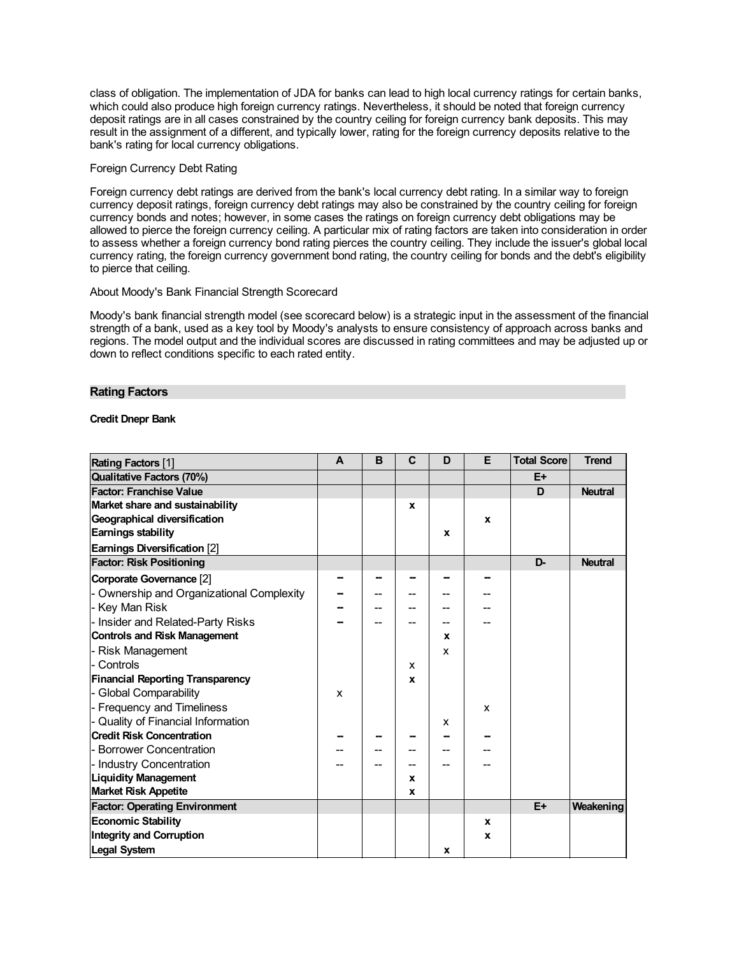class of obligation. The implementation of JDA for banks can lead to high local currency ratings for certain banks, which could also produce high foreign currency ratings. Nevertheless, it should be noted that foreign currency deposit ratings are in all cases constrained by the country ceiling for foreign currency bank deposits. This may result in the assignment of a different, and typically lower, rating for the foreign currency deposits relative to the bank's rating for local currency obligations.

# Foreign Currency Debt Rating

Foreign currency debt ratings are derived from the bank's local currency debt rating. In a similar way to foreign currency deposit ratings, foreign currency debt ratings may also be constrained by the country ceiling for foreign currency bonds and notes; however, in some cases the ratings on foreign currency debt obligations may be allowed to pierce the foreign currency ceiling. A particular mix of rating factors are taken into consideration in order to assess whether a foreign currency bond rating pierces the country ceiling. They include the issuer's global local currency rating, the foreign currency government bond rating, the country ceiling for bonds and the debt's eligibility to pierce that ceiling.

# About Moody's Bank Financial Strength Scorecard

Moody's bank financial strength model (see scorecard below) is a strategic input in the assessment of the financial strength of a bank, used as a key tool by Moody's analysts to ensure consistency of approach across banks and regions. The model output and the individual scores are discussed in rating committees and may be adjusted up or down to reflect conditions specific to each rated entity.

#### **Rating Factors**

# **Credit Dnepr Bank**

| <b>Rating Factors [1]</b>               | A | B | $\mathbf C$  | D           | E | <b>Total Score</b> | <b>Trend</b>   |
|-----------------------------------------|---|---|--------------|-------------|---|--------------------|----------------|
| <b>Qualitative Factors (70%)</b>        |   |   |              |             |   | E+                 |                |
| <b>Factor: Franchise Value</b>          |   |   |              |             |   | D                  | <b>Neutral</b> |
| Market share and sustainability         |   |   | $\mathbf{x}$ |             |   |                    |                |
| Geographical diversification            |   |   |              |             | X |                    |                |
| Earnings stability                      |   |   |              | $\mathbf x$ |   |                    |                |
| Earnings Diversification [2]            |   |   |              |             |   |                    |                |
| <b>Factor: Risk Positioning</b>         |   |   |              |             |   | D-                 | <b>Neutral</b> |
| Corporate Governance [2]                |   |   |              |             |   |                    |                |
| Ownership and Organizational Complexity |   |   |              |             |   |                    |                |
| - Key Man Risk                          |   |   |              |             |   |                    |                |
| Insider and Related-Party Risks         |   |   |              |             |   |                    |                |
| <b>Controls and Risk Management</b>     |   |   |              | X           |   |                    |                |
| Risk Management                         |   |   |              | X           |   |                    |                |
| Controls                                |   |   | x            |             |   |                    |                |
| <b>Financial Reporting Transparency</b> |   |   | x            |             |   |                    |                |
| - Global Comparability                  | x |   |              |             |   |                    |                |
| - Frequency and Timeliness              |   |   |              |             | X |                    |                |
| Quality of Financial Information        |   |   |              | x           |   |                    |                |
| <b>Credit Risk Concentration</b>        |   |   |              |             |   |                    |                |
| <b>Borrower Concentration</b>           |   |   |              |             |   |                    |                |
| - Industry Concentration                |   |   |              |             |   |                    |                |
| <b>Liquidity Management</b>             |   |   | X            |             |   |                    |                |
| <b>Market Risk Appetite</b>             |   |   | x            |             |   |                    |                |
| <b>Factor: Operating Environment</b>    |   |   |              |             |   | $E+$               | Weakening      |
| <b>Economic Stability</b>               |   |   |              |             | X |                    |                |
| <b>Integrity and Corruption</b>         |   |   |              |             | X |                    |                |
| <b>Legal System</b>                     |   |   |              | x           |   |                    |                |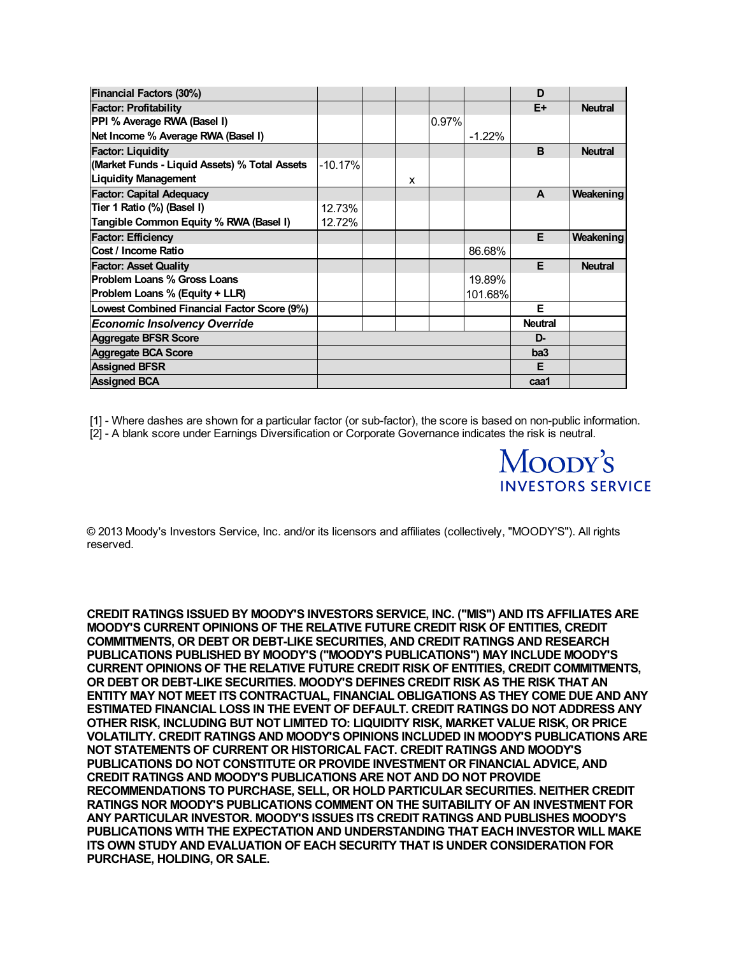| <b>Financial Factors (30%)</b>                |           |   |       |          | D               |                |
|-----------------------------------------------|-----------|---|-------|----------|-----------------|----------------|
| <b>Factor: Profitability</b>                  |           |   |       |          | E+              | <b>Neutral</b> |
| PPI % Average RWA (Basel I)                   |           |   | 0.97% |          |                 |                |
| Net Income % Average RWA (Basel I)            |           |   |       | $-1.22%$ |                 |                |
| <b>Factor: Liquidity</b>                      |           |   |       |          | <sub>B</sub>    | <b>Neutral</b> |
| (Market Funds - Liquid Assets) % Total Assets | $-10.17%$ |   |       |          |                 |                |
| <b>Liquidity Management</b>                   |           | x |       |          |                 |                |
| <b>Factor: Capital Adequacy</b>               |           |   |       |          | A               | Weakening      |
| Tier 1 Ratio (%) (Basel I)                    | 12.73%    |   |       |          |                 |                |
| Tangible Common Equity % RWA (Basel I)        | 12.72%    |   |       |          |                 |                |
| <b>Factor: Efficiency</b>                     |           |   |       |          | E               | Weakening      |
| <b>Cost / Income Ratio</b>                    |           |   |       | 86.68%   |                 |                |
| <b>Factor: Asset Quality</b>                  |           |   |       |          | F               | <b>Neutral</b> |
| <b>Problem Loans % Gross Loans</b>            |           |   |       | 19.89%   |                 |                |
| <b>Problem Loans % (Equity + LLR)</b>         |           |   |       | 101.68%  |                 |                |
| Lowest Combined Financial Factor Score (9%)   |           |   |       |          | F               |                |
| <b>Economic Insolvency Override</b>           |           |   |       |          | <b>Neutral</b>  |                |
| <b>Aggregate BFSR Score</b>                   |           |   |       |          | D-              |                |
| <b>Aggregate BCA Score</b>                    |           |   |       |          | ba <sub>3</sub> |                |
| <b>Assigned BFSR</b>                          |           |   |       |          | Е               |                |
| <b>Assigned BCA</b>                           |           |   |       |          | caa1            |                |

[1] - Where dashes are shown for a particular factor (or sub-factor), the score is based on non-public information.

Moody's

**INVESTORS SERVICE** 

[2] - A blank score under Earnings Diversification or Corporate Governance indicates the risk is neutral.

© 2013 Moody's Investors Service, Inc. and/or its licensors and affiliates (collectively, "MOODY'S"). All rights reserved.

**CREDIT RATINGS ISSUED BY MOODY'S INVESTORS SERVICE, INC. ("MIS") AND ITS AFFILIATES ARE MOODY'S CURRENT OPINIONS OF THE RELATIVE FUTURE CREDIT RISK OF ENTITIES, CREDIT COMMITMENTS, OR DEBT OR DEBT-LIKE SECURITIES, AND CREDIT RATINGS AND RESEARCH PUBLICATIONS PUBLISHED BY MOODY'S ("MOODY'S PUBLICATIONS") MAY INCLUDE MOODY'S CURRENT OPINIONS OF THE RELATIVE FUTURE CREDIT RISK OF ENTITIES, CREDIT COMMITMENTS, OR DEBT OR DEBT-LIKE SECURITIES. MOODY'S DEFINES CREDIT RISK AS THE RISK THAT AN ENTITY MAY NOT MEET ITS CONTRACTUAL, FINANCIAL OBLIGATIONS AS THEY COME DUE AND ANY ESTIMATED FINANCIAL LOSS IN THE EVENT OF DEFAULT. CREDIT RATINGS DO NOT ADDRESS ANY OTHER RISK, INCLUDING BUT NOT LIMITED TO: LIQUIDITY RISK, MARKET VALUE RISK, OR PRICE VOLATILITY. CREDIT RATINGS AND MOODY'S OPINIONS INCLUDED IN MOODY'S PUBLICATIONS ARE NOT STATEMENTS OF CURRENT OR HISTORICAL FACT. CREDIT RATINGS AND MOODY'S PUBLICATIONS DO NOT CONSTITUTE OR PROVIDE INVESTMENT OR FINANCIAL ADVICE, AND CREDIT RATINGS AND MOODY'S PUBLICATIONS ARE NOT AND DO NOT PROVIDE RECOMMENDATIONS TO PURCHASE, SELL, OR HOLD PARTICULAR SECURITIES. NEITHER CREDIT RATINGS NOR MOODY'S PUBLICATIONS COMMENT ON THE SUITABILITY OF AN INVESTMENT FOR ANY PARTICULAR INVESTOR. MOODY'S ISSUES ITS CREDIT RATINGS AND PUBLISHES MOODY'S PUBLICATIONS WITH THE EXPECTATION AND UNDERSTANDING THAT EACH INVESTOR WILL MAKE ITS OWN STUDY AND EVALUATION OF EACH SECURITY THAT IS UNDER CONSIDERATION FOR PURCHASE, HOLDING, OR SALE.**